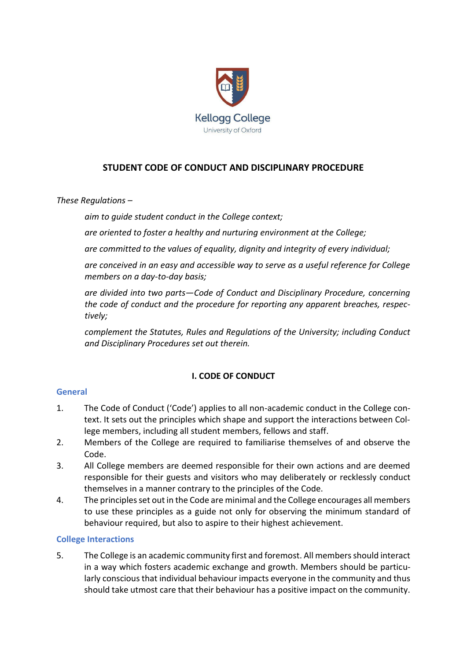

# **STUDENT CODE OF CONDUCT AND DISCIPLINARY PROCEDURE**

*These Regulations –*

*aim to guide student conduct in the College context;*

*are oriented to foster a healthy and nurturing environment at the College;* 

*are committed to the values of equality, dignity and integrity of every individual;* 

*are conceived in an easy and accessible way to serve as a useful reference for College members on a day-to-day basis;*

*are divided into two parts—Code of Conduct and Disciplinary Procedure, concerning the code of conduct and the procedure for reporting any apparent breaches, respectively;*

*complement the Statutes, Rules and Regulations of the University; including Conduct and Disciplinary Procedures set out therein.*

## **I. CODE OF CONDUCT**

### **General**

- 1. The Code of Conduct ('Code') applies to all non-academic conduct in the College context. It sets out the principles which shape and support the interactions between College members, including all student members, fellows and staff.
- 2. Members of the College are required to familiarise themselves of and observe the Code.
- 3. All College members are deemed responsible for their own actions and are deemed responsible for their guests and visitors who may deliberately or recklessly conduct themselves in a manner contrary to the principles of the Code.
- 4. The principles set out in the Code are minimal and the College encourages all members to use these principles as a guide not only for observing the minimum standard of behaviour required, but also to aspire to their highest achievement.

### **College Interactions**

5. The College is an academic community first and foremost. All members should interact in a way which fosters academic exchange and growth. Members should be particularly conscious that individual behaviour impacts everyone in the community and thus should take utmost care that their behaviour has a positive impact on the community.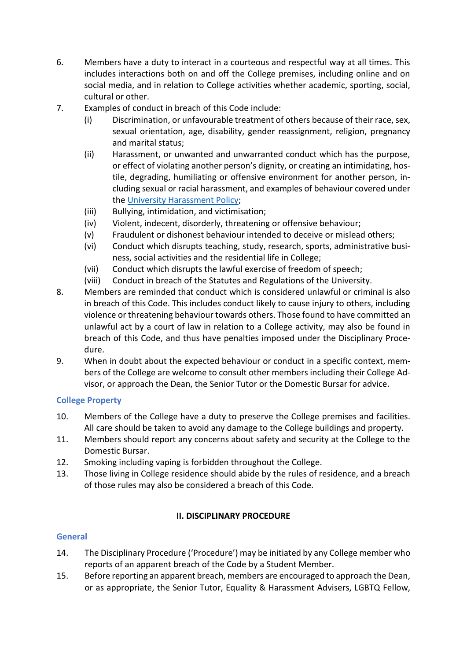- 6. Members have a duty to interact in a courteous and respectful way at all times. This includes interactions both on and off the College premises, including online and on social media, and in relation to College activities whether academic, sporting, social, cultural or other.
- 7. Examples of conduct in breach of this Code include:
	- (i) Discrimination, or unfavourable treatment of others because of their race, sex, sexual orientation, age, disability, gender reassignment, religion, pregnancy and marital status;
	- (ii) Harassment, or unwanted and unwarranted conduct which has the purpose, or effect of violating another person's dignity, or creating an intimidating, hostile, degrading, humiliating or offensive environment for another person, including sexual or racial harassment, and examples of behaviour covered under the [University Harassment Policy;](https://edu.admin.ox.ac.uk/university-policy-on-harassment#collapse1072116)
	- (iii) Bullying, intimidation, and victimisation;
	- (iv) Violent, indecent, disorderly, threatening or offensive behaviour;
	- (v) Fraudulent or dishonest behaviour intended to deceive or mislead others;
	- (vi) Conduct which disrupts teaching, study, research, sports, administrative business, social activities and the residential life in College;
	- (vii) Conduct which disrupts the lawful exercise of freedom of speech;
	- (viii) Conduct in breach of the Statutes and Regulations of the University.
- 8. Members are reminded that conduct which is considered unlawful or criminal is also in breach of this Code. This includes conduct likely to cause injury to others, including violence or threatening behaviour towards others. Those found to have committed an unlawful act by a court of law in relation to a College activity, may also be found in breach of this Code, and thus have penalties imposed under the Disciplinary Procedure.
- 9. When in doubt about the expected behaviour or conduct in a specific context, members of the College are welcome to consult other members including their College Advisor, or approach the Dean, the Senior Tutor or the Domestic Bursar for advice.

## **College Property**

- 10. Members of the College have a duty to preserve the College premises and facilities. All care should be taken to avoid any damage to the College buildings and property.
- 11. Members should report any concerns about safety and security at the College to the Domestic Bursar.
- 12. Smoking including vaping is forbidden throughout the College.
- 13. Those living in College residence should abide by the rules of residence, and a breach of those rules may also be considered a breach of this Code.

## **II. DISCIPLINARY PROCEDURE**

## **General**

- 14. The Disciplinary Procedure ('Procedure') may be initiated by any College member who reports of an apparent breach of the Code by a Student Member.
- 15. Before reporting an apparent breach, members are encouraged to approach the Dean, or as appropriate, the Senior Tutor, Equality & Harassment Advisers, LGBTQ Fellow,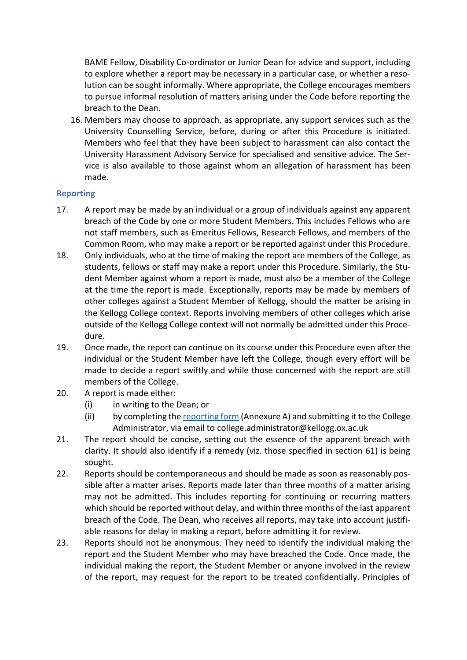BAME Fellow, Disability Co-ordinator or Junior Dean for advice and support, including to explore whether a report may be necessary in a particular case, or whether a resolution can be sought informally. Where appropriate, the College encourages members to pursue informal resolution of matters arising under the Code before reporting the breach to the Dean.

16. Members may choose to approach, as appropriate, any support services such as the University Counselling Service, before, during or after this Procedure is initiated. Members who feel that they have been subject to harassment can also contact the University Harassment Advisory Service for specialised and sensitive advice. The Service is also available to those against whom an allegation of harassment has been made.

#### **Reporting**

- 17. A report may be made by an individual or a group of individuals against any apparent breach of the Code by one or more Student Members. This includes Fellows who are not staff members, such as Emeritus Fellows, Research Fellows, and members of the Common Room, who may make a report or be reported against under this Procedure.
- 18. Only individuals, who at the time of making the report are members of the College, as students, fellows or staff may make a report under this Procedure. Similarly, the Student Member against whom a report is made, must also be a member of the College at the time the report is made. Exceptionally, reports may be made by members of other colleges against a Student Member of Kellogg, should the matter be arising in the Kellogg College context. Reports involving members of other colleges which arise outside of the Kellogg College context will not normally be admitted under this Procedure.
- 19. Once made, the report can continue on its course under this Procedure even after the individual or the Student Member have left the College, though every effort will be made to decide a report swiftly and while those concerned with the report are still members of the College.
- 20. A report is made either:
	- (i) in writing to the Dean; or
	- (ii) by completing th[e reporting form](https://www.kellogg.ox.ac.uk/wp-content/uploads/2021/09/Breach-of-Code-of-Conduct-Reporting-Form-2021.docx) (Annexure A) and submitting it to the College Administrator, via email to college.administrator@kellogg.ox.ac.uk
- 21. The report should be concise, setting out the essence of the apparent breach with clarity. It should also identify if a remedy (viz. those specified in section 61) is being sought.
- 22. Reports should be contemporaneous and should be made as soon as reasonably possible after a matter arises. Reports made later than three months of a matter arising may not be admitted. This includes reporting for continuing or recurring matters which should be reported without delay, and within three months of the last apparent breach of the Code. The Dean, who receives all reports, may take into account justifiable reasons for delay in making a report, before admitting it for review.
- 23. Reports should not be anonymous. They need to identify the individual making the report and the Student Member who may have breached the Code. Once made, the individual making the report, the Student Member or anyone involved in the review of the report, may request for the report to be treated confidentially. Principles of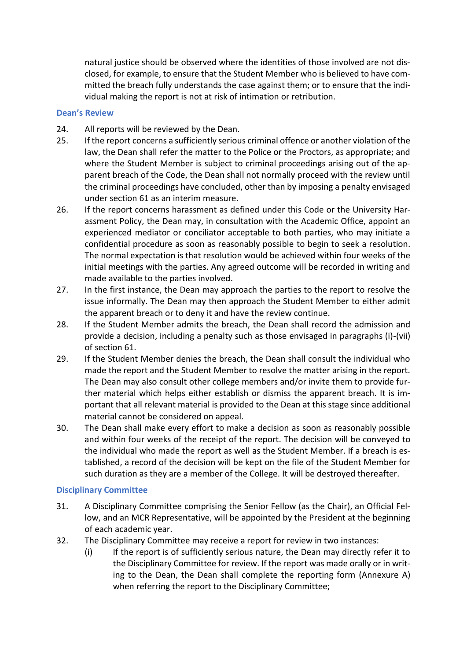natural justice should be observed where the identities of those involved are not disclosed, for example, to ensure that the Student Member who is believed to have committed the breach fully understands the case against them; or to ensure that the individual making the report is not at risk of intimation or retribution.

#### **Dean's Review**

- 24. All reports will be reviewed by the Dean.
- 25. If the report concerns a sufficiently serious criminal offence or another violation of the law, the Dean shall refer the matter to the Police or the Proctors, as appropriate; and where the Student Member is subject to criminal proceedings arising out of the apparent breach of the Code, the Dean shall not normally proceed with the review until the criminal proceedings have concluded, other than by imposing a penalty envisaged under section 61 as an interim measure.
- 26. If the report concerns harassment as defined under this Code or the University Harassment Policy, the Dean may, in consultation with the Academic Office, appoint an experienced mediator or conciliator acceptable to both parties, who may initiate a confidential procedure as soon as reasonably possible to begin to seek a resolution. The normal expectation is that resolution would be achieved within four weeks of the initial meetings with the parties. Any agreed outcome will be recorded in writing and made available to the parties involved.
- 27. In the first instance, the Dean may approach the parties to the report to resolve the issue informally. The Dean may then approach the Student Member to either admit the apparent breach or to deny it and have the review continue.
- 28. If the Student Member admits the breach, the Dean shall record the admission and provide a decision, including a penalty such as those envisaged in paragraphs (i)-(vii) of section 61.
- 29. If the Student Member denies the breach, the Dean shall consult the individual who made the report and the Student Member to resolve the matter arising in the report. The Dean may also consult other college members and/or invite them to provide further material which helps either establish or dismiss the apparent breach. It is important that all relevant material is provided to the Dean at this stage since additional material cannot be considered on appeal.
- 30. The Dean shall make every effort to make a decision as soon as reasonably possible and within four weeks of the receipt of the report. The decision will be conveyed to the individual who made the report as well as the Student Member. If a breach is established, a record of the decision will be kept on the file of the Student Member for such duration as they are a member of the College. It will be destroyed thereafter.

#### **Disciplinary Committee**

- 31. A Disciplinary Committee comprising the Senior Fellow (as the Chair), an Official Fellow, and an MCR Representative, will be appointed by the President at the beginning of each academic year.
- 32. The Disciplinary Committee may receive a report for review in two instances:
	- (i) If the report is of sufficiently serious nature, the Dean may directly refer it to the Disciplinary Committee for review. If the report was made orally or in writing to the Dean, the Dean shall complete the reporting form (Annexure A) when referring the report to the Disciplinary Committee;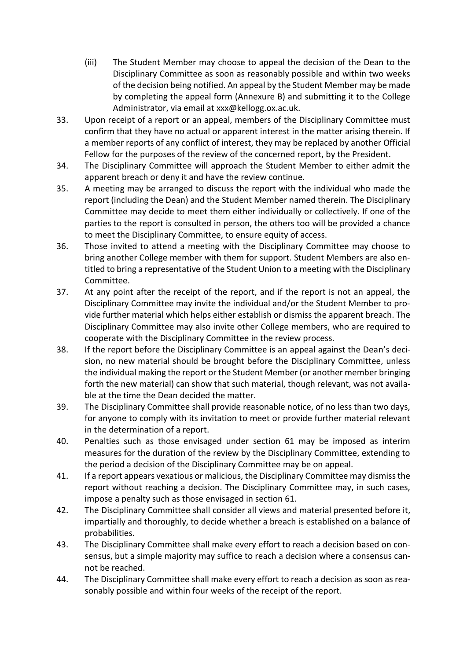- (iii) The Student Member may choose to appeal the decision of the Dean to the Disciplinary Committee as soon as reasonably possible and within two weeks of the decision being notified. An appeal by the Student Member may be made by completing the appeal form (Annexure B) and submitting it to the College Administrator, via email at xxx@kellogg.ox.ac.uk.
- 33. Upon receipt of a report or an appeal, members of the Disciplinary Committee must confirm that they have no actual or apparent interest in the matter arising therein. If a member reports of any conflict of interest, they may be replaced by another Official Fellow for the purposes of the review of the concerned report, by the President.
- 34. The Disciplinary Committee will approach the Student Member to either admit the apparent breach or deny it and have the review continue.
- 35. A meeting may be arranged to discuss the report with the individual who made the report (including the Dean) and the Student Member named therein. The Disciplinary Committee may decide to meet them either individually or collectively. If one of the parties to the report is consulted in person, the others too will be provided a chance to meet the Disciplinary Committee, to ensure equity of access.
- 36. Those invited to attend a meeting with the Disciplinary Committee may choose to bring another College member with them for support. Student Members are also entitled to bring a representative of the Student Union to a meeting with the Disciplinary Committee.
- 37. At any point after the receipt of the report, and if the report is not an appeal, the Disciplinary Committee may invite the individual and/or the Student Member to provide further material which helps either establish or dismiss the apparent breach. The Disciplinary Committee may also invite other College members, who are required to cooperate with the Disciplinary Committee in the review process.
- 38. If the report before the Disciplinary Committee is an appeal against the Dean's decision, no new material should be brought before the Disciplinary Committee, unless the individual making the report or the Student Member (or another member bringing forth the new material) can show that such material, though relevant, was not available at the time the Dean decided the matter.
- 39. The Disciplinary Committee shall provide reasonable notice, of no less than two days, for anyone to comply with its invitation to meet or provide further material relevant in the determination of a report.
- 40. Penalties such as those envisaged under section 61 may be imposed as interim measures for the duration of the review by the Disciplinary Committee, extending to the period a decision of the Disciplinary Committee may be on appeal.
- 41. If a report appears vexatious or malicious, the Disciplinary Committee may dismiss the report without reaching a decision. The Disciplinary Committee may, in such cases, impose a penalty such as those envisaged in section 61.
- 42. The Disciplinary Committee shall consider all views and material presented before it, impartially and thoroughly, to decide whether a breach is established on a balance of probabilities.
- 43. The Disciplinary Committee shall make every effort to reach a decision based on consensus, but a simple majority may suffice to reach a decision where a consensus cannot be reached.
- 44. The Disciplinary Committee shall make every effort to reach a decision as soon as reasonably possible and within four weeks of the receipt of the report.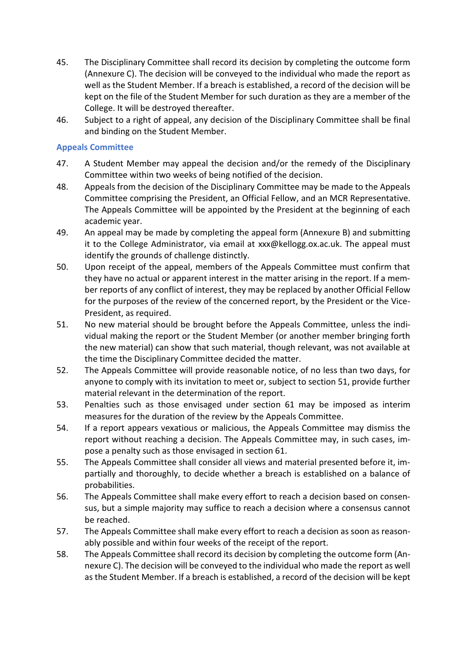- 45. The Disciplinary Committee shall record its decision by completing the outcome form (Annexure C). The decision will be conveyed to the individual who made the report as well as the Student Member. If a breach is established, a record of the decision will be kept on the file of the Student Member for such duration as they are a member of the College. It will be destroyed thereafter.
- 46. Subject to a right of appeal, any decision of the Disciplinary Committee shall be final and binding on the Student Member.

### **Appeals Committee**

- 47. A Student Member may appeal the decision and/or the remedy of the Disciplinary Committee within two weeks of being notified of the decision.
- 48. Appeals from the decision of the Disciplinary Committee may be made to the Appeals Committee comprising the President, an Official Fellow, and an MCR Representative. The Appeals Committee will be appointed by the President at the beginning of each academic year.
- 49. An appeal may be made by completing the appeal form (Annexure B) and submitting it to the College Administrator, via email at xxx@kellogg.ox.ac.uk. The appeal must identify the grounds of challenge distinctly.
- 50. Upon receipt of the appeal, members of the Appeals Committee must confirm that they have no actual or apparent interest in the matter arising in the report. If a member reports of any conflict of interest, they may be replaced by another Official Fellow for the purposes of the review of the concerned report, by the President or the Vice-President, as required.
- 51. No new material should be brought before the Appeals Committee, unless the individual making the report or the Student Member (or another member bringing forth the new material) can show that such material, though relevant, was not available at the time the Disciplinary Committee decided the matter.
- 52. The Appeals Committee will provide reasonable notice, of no less than two days, for anyone to comply with its invitation to meet or, subject to section 51, provide further material relevant in the determination of the report.
- 53. Penalties such as those envisaged under section 61 may be imposed as interim measures for the duration of the review by the Appeals Committee.
- 54. If a report appears vexatious or malicious, the Appeals Committee may dismiss the report without reaching a decision. The Appeals Committee may, in such cases, impose a penalty such as those envisaged in section 61.
- 55. The Appeals Committee shall consider all views and material presented before it, impartially and thoroughly, to decide whether a breach is established on a balance of probabilities.
- 56. The Appeals Committee shall make every effort to reach a decision based on consensus, but a simple majority may suffice to reach a decision where a consensus cannot be reached.
- 57. The Appeals Committee shall make every effort to reach a decision as soon as reasonably possible and within four weeks of the receipt of the report.
- 58. The Appeals Committee shall record its decision by completing the outcome form (Annexure C). The decision will be conveyed to the individual who made the report as well as the Student Member. If a breach is established, a record of the decision will be kept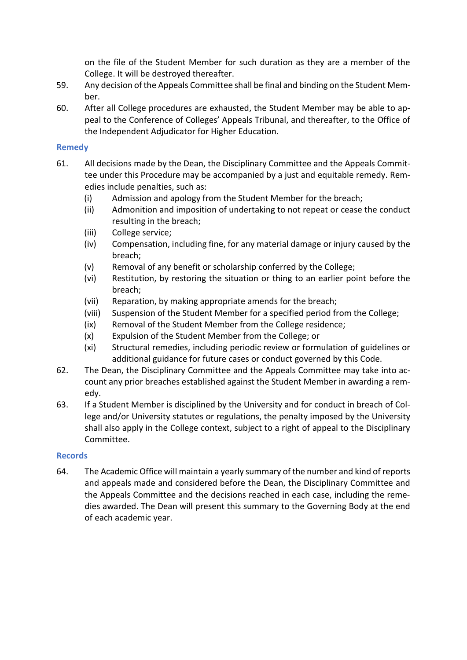on the file of the Student Member for such duration as they are a member of the College. It will be destroyed thereafter.

- 59. Any decision of the Appeals Committee shall be final and binding on the Student Member.
- 60. After all College procedures are exhausted, the Student Member may be able to appeal to the Conference of Colleges' Appeals Tribunal, and thereafter, to the Office of the Independent Adjudicator for Higher Education.

### **Remedy**

- 61. All decisions made by the Dean, the Disciplinary Committee and the Appeals Committee under this Procedure may be accompanied by a just and equitable remedy. Remedies include penalties, such as:
	- (i) Admission and apology from the Student Member for the breach;
	- (ii) Admonition and imposition of undertaking to not repeat or cease the conduct resulting in the breach;
	- (iii) College service;
	- (iv) Compensation, including fine, for any material damage or injury caused by the breach;
	- (v) Removal of any benefit or scholarship conferred by the College;
	- (vi) Restitution, by restoring the situation or thing to an earlier point before the breach;
	- (vii) Reparation, by making appropriate amends for the breach;
	- (viii) Suspension of the Student Member for a specified period from the College;
	- (ix) Removal of the Student Member from the College residence;
	- (x) Expulsion of the Student Member from the College; or
	- (xi) Structural remedies, including periodic review or formulation of guidelines or additional guidance for future cases or conduct governed by this Code.
- 62. The Dean, the Disciplinary Committee and the Appeals Committee may take into account any prior breaches established against the Student Member in awarding a remedy.
- 63. If a Student Member is disciplined by the University and for conduct in breach of College and/or University statutes or regulations, the penalty imposed by the University shall also apply in the College context, subject to a right of appeal to the Disciplinary Committee.

#### **Records**

64. The Academic Office will maintain a yearly summary of the number and kind of reports and appeals made and considered before the Dean, the Disciplinary Committee and the Appeals Committee and the decisions reached in each case, including the remedies awarded. The Dean will present this summary to the Governing Body at the end of each academic year.